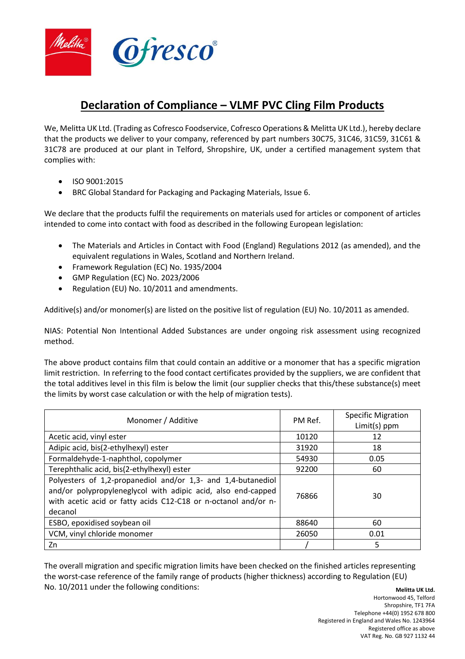

## **Declaration of Compliance – VLMF PVC Cling Film Products**

We, Melitta UK Ltd. (Trading as Cofresco Foodservice, Cofresco Operations & Melitta UK Ltd.), hereby declare that the products we deliver to your company, referenced by part numbers 30C75, 31C46, 31C59, 31C61 & 31C78 are produced at our plant in Telford, Shropshire, UK, under a certified management system that complies with:

- ISO 9001:2015
- BRC Global Standard for Packaging and Packaging Materials, Issue 6.

We declare that the products fulfil the requirements on materials used for articles or component of articles intended to come into contact with food as described in the following European legislation:

- The Materials and Articles in Contact with Food (England) Regulations 2012 (as amended), and the equivalent regulations in Wales, Scotland and Northern Ireland.
- Framework Regulation (EC) No. 1935/2004
- GMP Regulation (EC) No. 2023/2006
- Regulation (EU) No. 10/2011 and amendments.

Additive(s) and/or monomer(s) are listed on the positive list of regulation (EU) No. 10/2011 as amended.

NIAS: Potential Non Intentional Added Substances are under ongoing risk assessment using recognized method.

The above product contains film that could contain an additive or a monomer that has a specific migration limit restriction. In referring to the food contact certificates provided by the suppliers, we are confident that the total additives level in this film is below the limit (our supplier checks that this/these substance(s) meet the limits by worst case calculation or with the help of migration tests).

| Monomer / Additive                                                                                                                                                                                        | PM Ref. | <b>Specific Migration</b><br>Limit(s) ppm |
|-----------------------------------------------------------------------------------------------------------------------------------------------------------------------------------------------------------|---------|-------------------------------------------|
| Acetic acid, vinyl ester                                                                                                                                                                                  | 10120   | 12                                        |
| Adipic acid, bis(2-ethylhexyl) ester                                                                                                                                                                      | 31920   | 18                                        |
| Formaldehyde-1-naphthol, copolymer                                                                                                                                                                        | 54930   | 0.05                                      |
| Terephthalic acid, bis(2-ethylhexyl) ester                                                                                                                                                                | 92200   | 60                                        |
| Polyesters of 1,2-propanediol and/or 1,3- and 1,4-butanediol<br>and/or polypropyleneglycol with adipic acid, also end-capped<br>with acetic acid or fatty acids C12-C18 or n-octanol and/or n-<br>decanol | 76866   | 30                                        |
| ESBO, epoxidised soybean oil                                                                                                                                                                              | 88640   | 60                                        |
| VCM, vinyl chloride monomer                                                                                                                                                                               | 26050   | 0.01                                      |
| Zn                                                                                                                                                                                                        |         | 5                                         |

**Melitta UK Ltd.** The overall migration and specific migration limits have been checked on the finished articles representing the worst-case reference of the family range of products (higher thickness) according to Regulation (EU) No. 10/2011 under the following conditions: